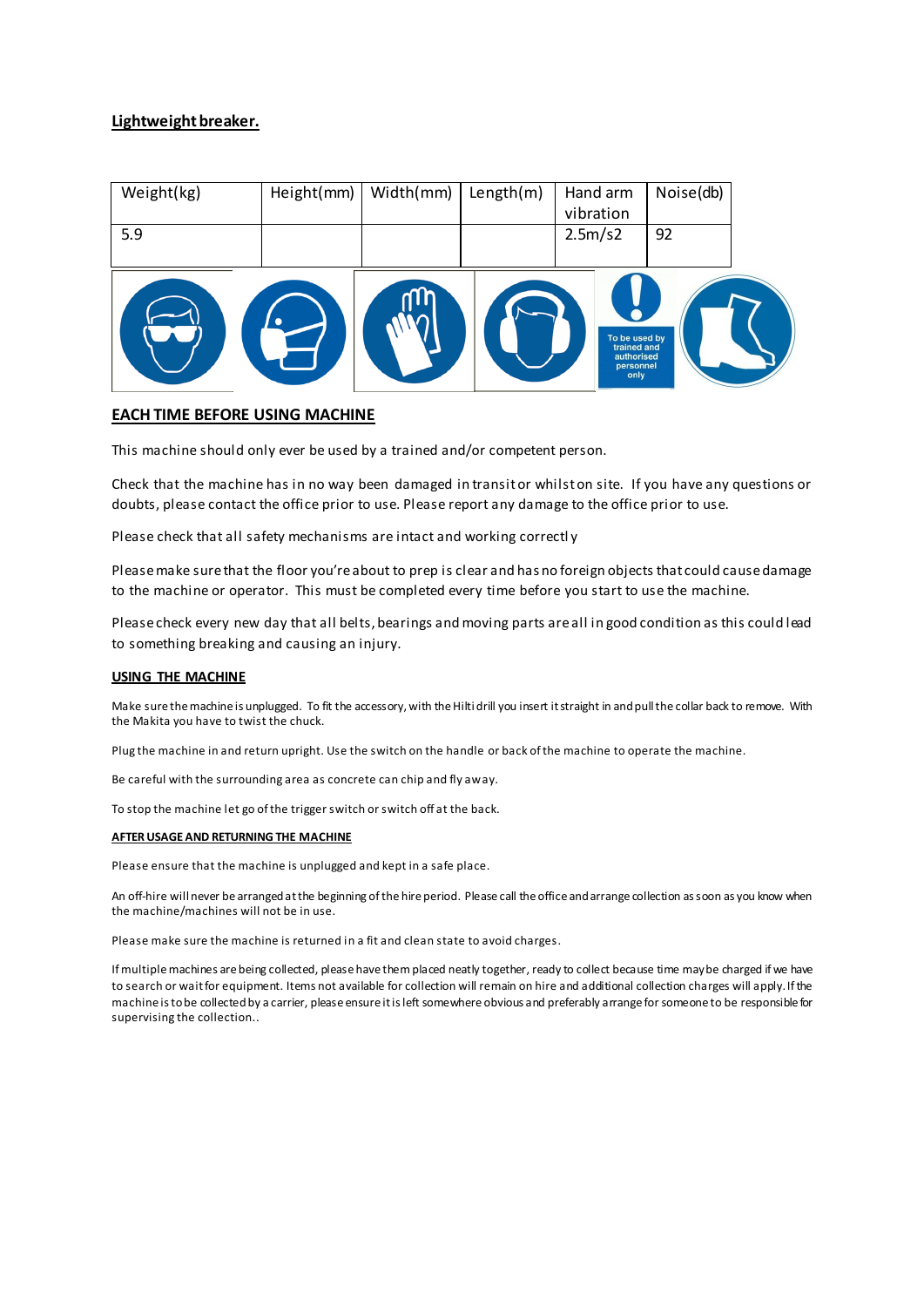## **Lightweight breaker.**

| Weight(kg) | Height(mm) | Width(mm) | Length(m) | Hand arm<br>vibration                                           | Noise(db) |  |
|------------|------------|-----------|-----------|-----------------------------------------------------------------|-----------|--|
| 5.9        |            |           |           | 2.5m/s2                                                         | 92        |  |
|            |            |           |           | To be used by<br>trained and<br>authorised<br>personnel<br>only |           |  |

## **EACH TIME BEFORE USING MACHINE**

This machine should only ever be used by a trained and/or competent person.

Check that the machine has in no way been damaged in transit or whilst on site. If you have any questions or doubts, please contact the office prior to use. Please report any damage to the office prior to use.

Please check that all safety mechanisms are intact and working correctl y

Please make sure that the floor you're about to prep is clear and has no foreign objects that could cause damage to the machine or operator. This must be completed every time before you start to use the machine.

Please check every new day that all belts, bearings and moving parts are all in good condition as this could lead to something breaking and causing an injury.

## **USING THE MACHINE**

Make sure the machine is unplugged. To fit the accessory, with the Hilti drill you insert it straight in and pull the collar back to remove. With the Makita you have to twist the chuck.

Plug the machine in and return upright. Use the switch on the handle or back of the machine to operate the machine.

Be careful with the surrounding area as concrete can chip and fly away.

To stop the machine let go of the trigger switch or switch off at the back.

## **AFTER USAGE AND RETURNING THE MACHINE**

Please ensure that the machine is unplugged and kept in a safe place.

An off-hire will never be arranged at the beginning of the hire period. Please call the office and arrange collection as soon as you know when the machine/machines will not be in use.

Please make sure the machine is returned in a fit and clean state to avoid charges.

If multiple machines are being collected, please have them placed neatly together, ready to collect because time may be charged if we have to search or wait for equipment. Items not available for collection will remain on hire and additional collection charges will apply. If the machine is to be collected by a carrier, please ensure it is left somewhere obvious and preferably arrange for someone to be responsible for supervising the collection..